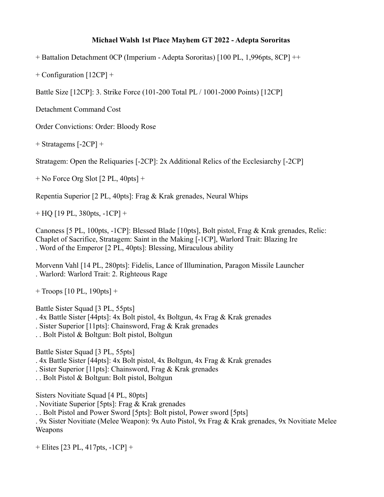## **Michael Walsh 1st Place Mayhem GT 2022 - Adepta Sororitas**

+ Battalion Detachment 0CP (Imperium - Adepta Sororitas) [100 PL, 1,996pts, 8CP] ++

+ Configuration [12CP] +

Battle Size [12CP]: 3. Strike Force (101-200 Total PL / 1001-2000 Points) [12CP]

Detachment Command Cost

Order Convictions: Order: Bloody Rose

+ Stratagems [-2CP] +

Stratagem: Open the Reliquaries [-2CP]: 2x Additional Relics of the Ecclesiarchy [-2CP]

+ No Force Org Slot [2 PL, 40pts] +

Repentia Superior [2 PL, 40pts]: Frag & Krak grenades, Neural Whips

+ HQ [19 PL, 380pts, -1CP] +

Canoness [5 PL, 100pts, -1CP]: Blessed Blade [10pts], Bolt pistol, Frag & Krak grenades, Relic: Chaplet of Sacrifice, Stratagem: Saint in the Making [-1CP], Warlord Trait: Blazing Ire . Word of the Emperor [2 PL, 40pts]: Blessing, Miraculous ability

Morvenn Vahl [14 PL, 280pts]: Fidelis, Lance of Illumination, Paragon Missile Launcher . Warlord: Warlord Trait: 2. Righteous Rage

 $+$  Troops [10 PL, 190pts]  $+$ 

Battle Sister Squad [3 PL, 55pts]

. 4x Battle Sister [44pts]: 4x Bolt pistol, 4x Boltgun, 4x Frag & Krak grenades

. Sister Superior [11pts]: Chainsword, Frag & Krak grenades

. . Bolt Pistol & Boltgun: Bolt pistol, Boltgun

Battle Sister Squad [3 PL, 55pts]

. 4x Battle Sister [44pts]: 4x Bolt pistol, 4x Boltgun, 4x Frag & Krak grenades

. Sister Superior [11pts]: Chainsword, Frag & Krak grenades

. . Bolt Pistol & Boltgun: Bolt pistol, Boltgun

Sisters Novitiate Squad [4 PL, 80pts]

. Novitiate Superior [5pts]: Frag & Krak grenades

. . Bolt Pistol and Power Sword [5pts]: Bolt pistol, Power sword [5pts]

. 9x Sister Novitiate (Melee Weapon): 9x Auto Pistol, 9x Frag & Krak grenades, 9x Novitiate Melee Weapons

+ Elites [23 PL, 417pts, -1CP] +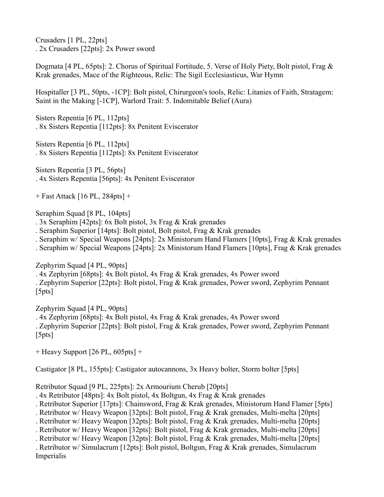Crusaders [1 PL, 22pts] . 2x Crusaders [22pts]: 2x Power sword

Dogmata [4 PL, 65pts]: 2. Chorus of Spiritual Fortitude, 5. Verse of Holy Piety, Bolt pistol, Frag & Krak grenades, Mace of the Righteous, Relic: The Sigil Ecclesiasticus, War Hymn

Hospitaller [3 PL, 50pts, -1CP]: Bolt pistol, Chirurgeon's tools, Relic: Litanies of Faith, Stratagem: Saint in the Making [-1CP], Warlord Trait: 5. Indomitable Belief (Aura)

Sisters Repentia [6 PL, 112pts] . 8x Sisters Repentia [112pts]: 8x Penitent Eviscerator

Sisters Repentia [6 PL, 112pts] . 8x Sisters Repentia [112pts]: 8x Penitent Eviscerator

Sisters Repentia [3 PL, 56pts] . 4x Sisters Repentia [56pts]: 4x Penitent Eviscerator

+ Fast Attack [16 PL, 284pts] +

Seraphim Squad [8 PL, 104pts]

. 3x Seraphim [42pts]: 6x Bolt pistol, 3x Frag & Krak grenades

. Seraphim Superior [14pts]: Bolt pistol, Bolt pistol, Frag & Krak grenades

. Seraphim w/ Special Weapons [24pts]: 2x Ministorum Hand Flamers [10pts], Frag & Krak grenades

. Seraphim w/ Special Weapons [24pts]: 2x Ministorum Hand Flamers [10pts], Frag & Krak grenades

Zephyrim Squad [4 PL, 90pts]

. 4x Zephyrim [68pts]: 4x Bolt pistol, 4x Frag & Krak grenades, 4x Power sword

. Zephyrim Superior [22pts]: Bolt pistol, Frag & Krak grenades, Power sword, Zephyrim Pennant [5pts]

Zephyrim Squad [4 PL, 90pts]

. 4x Zephyrim [68pts]: 4x Bolt pistol, 4x Frag & Krak grenades, 4x Power sword

. Zephyrim Superior [22pts]: Bolt pistol, Frag & Krak grenades, Power sword, Zephyrim Pennant [5pts]

+ Heavy Support [26 PL, 605pts] +

Castigator [8 PL, 155pts]: Castigator autocannons, 3x Heavy bolter, Storm bolter [5pts]

Retributor Squad [9 PL, 225pts]: 2x Armourium Cherub [20pts]

. 4x Retributor [48pts]: 4x Bolt pistol, 4x Boltgun, 4x Frag & Krak grenades

. Retributor Superior [17pts]: Chainsword, Frag & Krak grenades, Ministorum Hand Flamer [5pts]

- . Retributor w/ Heavy Weapon [32pts]: Bolt pistol, Frag & Krak grenades, Multi-melta [20pts]
- . Retributor w/ Heavy Weapon [32pts]: Bolt pistol, Frag & Krak grenades, Multi-melta [20pts]
- . Retributor w/ Heavy Weapon [32pts]: Bolt pistol, Frag & Krak grenades, Multi-melta [20pts]

. Retributor w/ Heavy Weapon [32pts]: Bolt pistol, Frag & Krak grenades, Multi-melta [20pts]

. Retributor w/ Simulacrum [12pts]: Bolt pistol, Boltgun, Frag & Krak grenades, Simulacrum

Imperialis